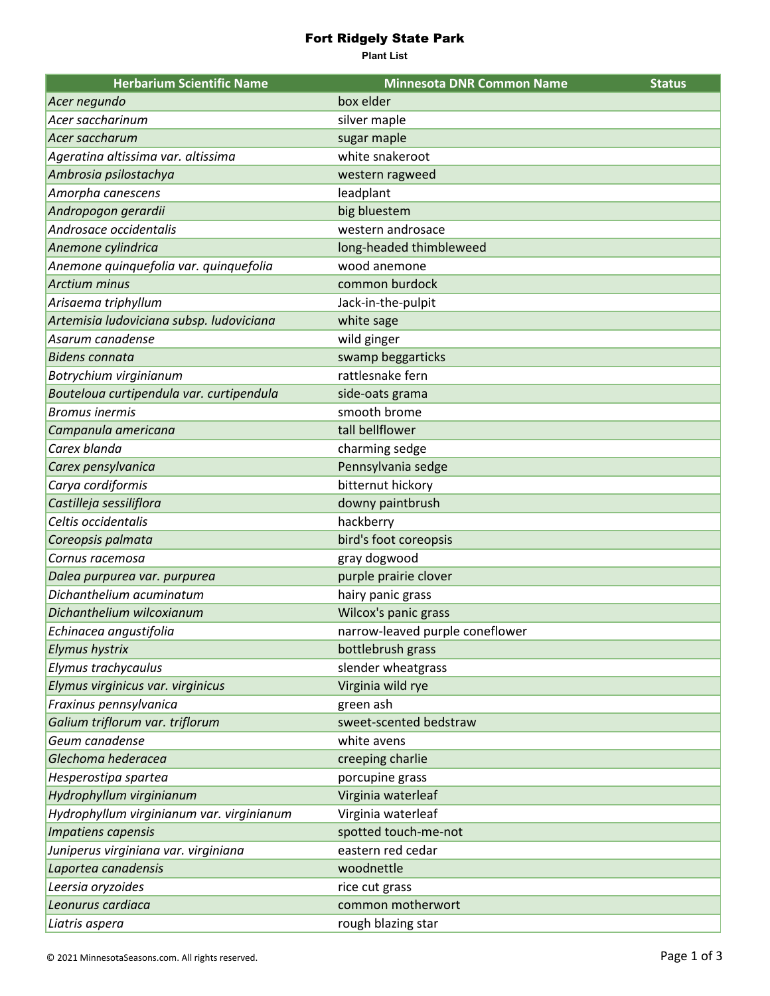## Fort Ridgely State Park

**Plant List**

| <b>Herbarium Scientific Name</b>          | <b>Minnesota DNR Common Name</b> | <b>Status</b> |
|-------------------------------------------|----------------------------------|---------------|
| Acer negundo                              | box elder                        |               |
| Acer saccharinum                          | silver maple                     |               |
| Acer saccharum                            | sugar maple                      |               |
| Ageratina altissima var. altissima        | white snakeroot                  |               |
| Ambrosia psilostachya                     | western ragweed                  |               |
| Amorpha canescens                         | leadplant                        |               |
| Andropogon gerardii                       | big bluestem                     |               |
| Androsace occidentalis                    | western androsace                |               |
| Anemone cylindrica                        | long-headed thimbleweed          |               |
| Anemone quinquefolia var. quinquefolia    | wood anemone                     |               |
| <b>Arctium minus</b>                      | common burdock                   |               |
| Arisaema triphyllum                       | Jack-in-the-pulpit               |               |
| Artemisia ludoviciana subsp. ludoviciana  | white sage                       |               |
| Asarum canadense                          | wild ginger                      |               |
| <b>Bidens connata</b>                     | swamp beggarticks                |               |
| Botrychium virginianum                    | rattlesnake fern                 |               |
| Bouteloua curtipendula var. curtipendula  | side-oats grama                  |               |
| <b>Bromus inermis</b>                     | smooth brome                     |               |
| Campanula americana                       | tall bellflower                  |               |
| Carex blanda                              | charming sedge                   |               |
| Carex pensylvanica                        | Pennsylvania sedge               |               |
| Carya cordiformis                         | bitternut hickory                |               |
| Castilleja sessiliflora                   | downy paintbrush                 |               |
| Celtis occidentalis                       | hackberry                        |               |
| Coreopsis palmata                         | bird's foot coreopsis            |               |
| Cornus racemosa                           | gray dogwood                     |               |
| Dalea purpurea var. purpurea              | purple prairie clover            |               |
| Dichanthelium acuminatum                  | hairy panic grass                |               |
| Dichanthelium wilcoxianum                 | Wilcox's panic grass             |               |
| Echinacea angustifolia                    | narrow-leaved purple coneflower  |               |
| <b>Elymus hystrix</b>                     | bottlebrush grass                |               |
| Elymus trachycaulus                       | slender wheatgrass               |               |
| Elymus virginicus var. virginicus         | Virginia wild rye                |               |
| Fraxinus pennsylvanica                    | green ash                        |               |
| Galium triflorum var. triflorum           | sweet-scented bedstraw           |               |
| Geum canadense                            | white avens                      |               |
| Glechoma hederacea                        | creeping charlie                 |               |
| Hesperostipa spartea                      | porcupine grass                  |               |
| Hydrophyllum virginianum                  | Virginia waterleaf               |               |
| Hydrophyllum virginianum var. virginianum | Virginia waterleaf               |               |
| Impatiens capensis                        | spotted touch-me-not             |               |
| Juniperus virginiana var. virginiana      | eastern red cedar                |               |
| Laportea canadensis                       | woodnettle                       |               |
| Leersia oryzoides                         | rice cut grass                   |               |
| Leonurus cardiaca                         | common motherwort                |               |
| Liatris aspera                            | rough blazing star               |               |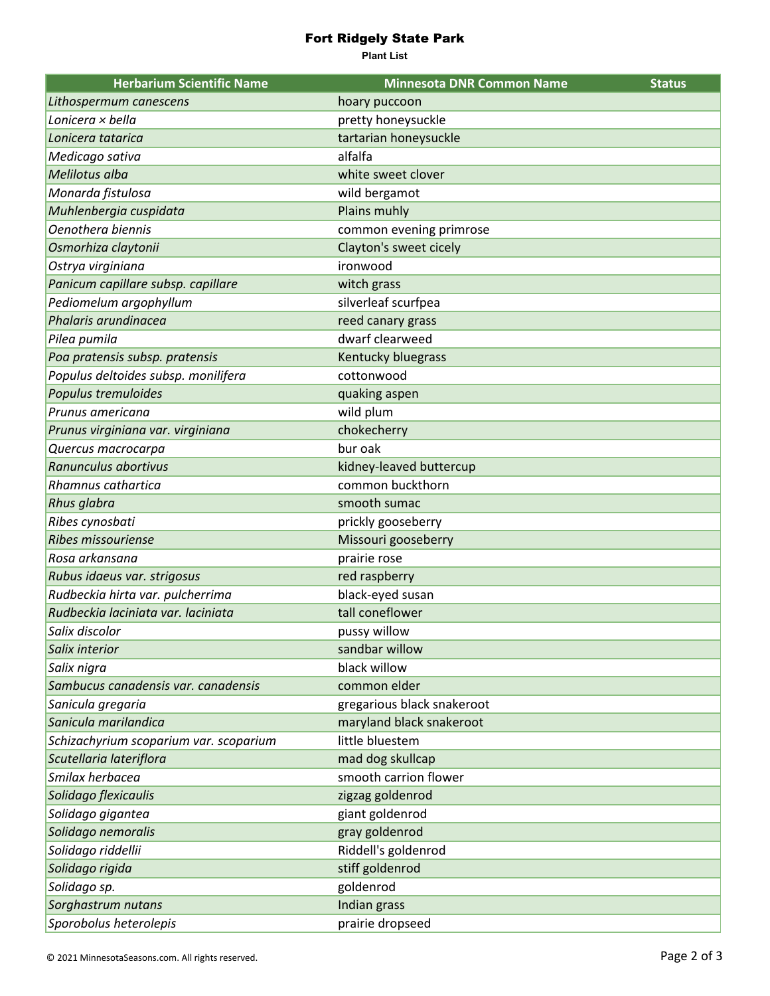## Fort Ridgely State Park

**Plant List**

| <b>Herbarium Scientific Name</b>       | <b>Minnesota DNR Common Name</b> | <b>Status</b> |
|----------------------------------------|----------------------------------|---------------|
| Lithospermum canescens                 | hoary puccoon                    |               |
| Lonicera × bella                       | pretty honeysuckle               |               |
| Lonicera tatarica                      | tartarian honeysuckle            |               |
| Medicago sativa                        | alfalfa                          |               |
| Melilotus alba                         | white sweet clover               |               |
| Monarda fistulosa                      | wild bergamot                    |               |
| Muhlenbergia cuspidata                 | Plains muhly                     |               |
| Oenothera biennis                      | common evening primrose          |               |
| Osmorhiza claytonii                    | Clayton's sweet cicely           |               |
| Ostrya virginiana                      | ironwood                         |               |
| Panicum capillare subsp. capillare     | witch grass                      |               |
| Pediomelum argophyllum                 | silverleaf scurfpea              |               |
| Phalaris arundinacea                   | reed canary grass                |               |
| Pilea pumila                           | dwarf clearweed                  |               |
| Poa pratensis subsp. pratensis         | Kentucky bluegrass               |               |
| Populus deltoides subsp. monilifera    | cottonwood                       |               |
| Populus tremuloides                    | quaking aspen                    |               |
| Prunus americana                       | wild plum                        |               |
| Prunus virginiana var. virginiana      | chokecherry                      |               |
| Quercus macrocarpa                     | bur oak                          |               |
| Ranunculus abortivus                   | kidney-leaved buttercup          |               |
| Rhamnus cathartica                     | common buckthorn                 |               |
| Rhus glabra                            | smooth sumac                     |               |
| Ribes cynosbati                        | prickly gooseberry               |               |
| <b>Ribes missouriense</b>              | Missouri gooseberry              |               |
| Rosa arkansana                         | prairie rose                     |               |
| Rubus idaeus var. strigosus            | red raspberry                    |               |
| Rudbeckia hirta var. pulcherrima       | black-eyed susan                 |               |
| Rudbeckia laciniata var. laciniata     | tall coneflower                  |               |
| Salix discolor                         | pussy willow                     |               |
| Salix interior                         | sandbar willow                   |               |
| Salix nigra                            | black willow                     |               |
| Sambucus canadensis var. canadensis    | common elder                     |               |
| Sanicula gregaria                      | gregarious black snakeroot       |               |
| Sanicula marilandica                   | maryland black snakeroot         |               |
| Schizachyrium scoparium var. scoparium | little bluestem                  |               |
| Scutellaria lateriflora                | mad dog skullcap                 |               |
| Smilax herbacea                        | smooth carrion flower            |               |
| Solidago flexicaulis                   | zigzag goldenrod                 |               |
| Solidago gigantea                      | giant goldenrod                  |               |
| Solidago nemoralis                     | gray goldenrod                   |               |
| Solidago riddellii                     | Riddell's goldenrod              |               |
| Solidago rigida                        | stiff goldenrod                  |               |
| Solidago sp.                           | goldenrod                        |               |
| Sorghastrum nutans                     | Indian grass                     |               |
| Sporobolus heterolepis                 | prairie dropseed                 |               |